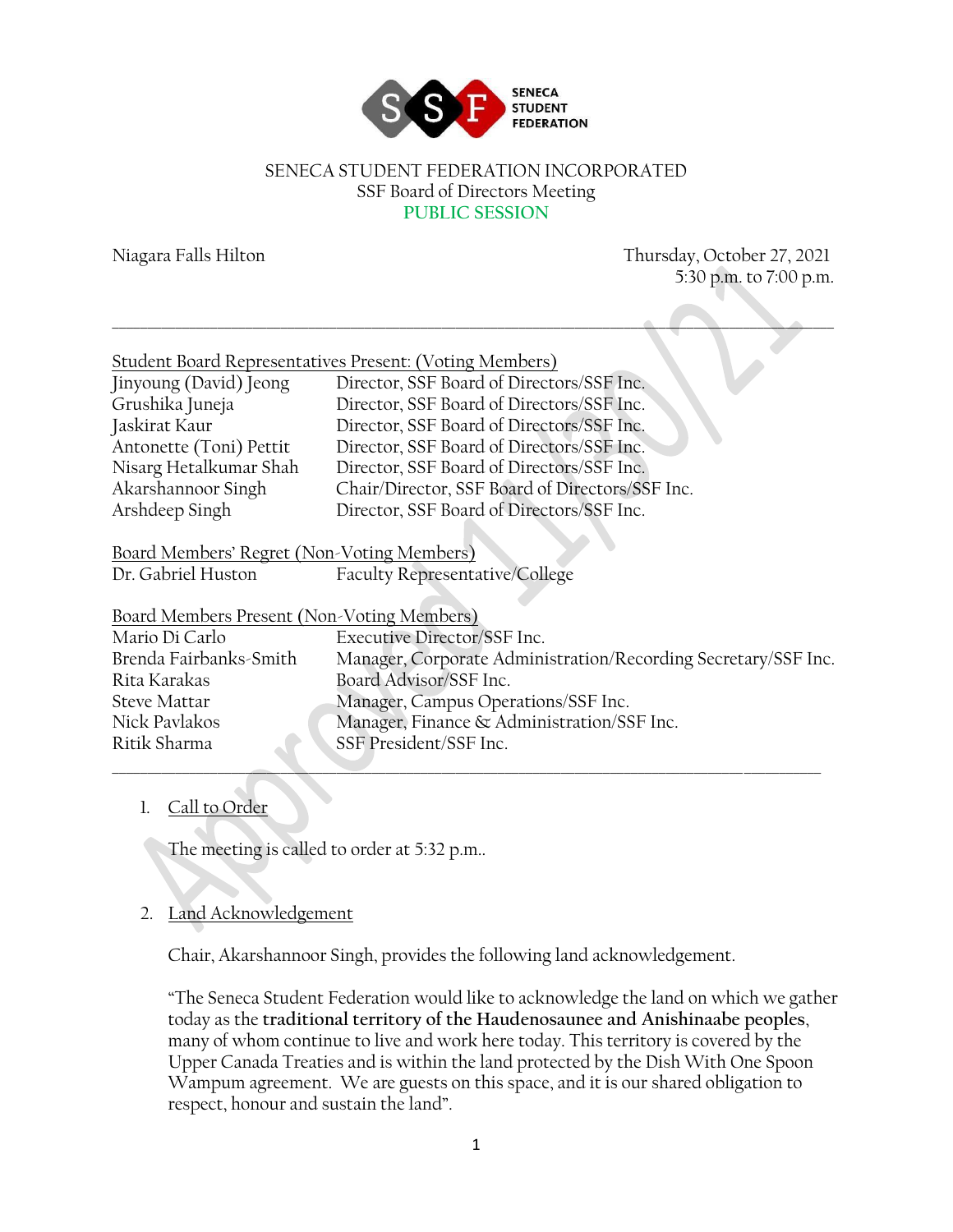

#### SENECA STUDENT FEDERATION INCORPORATED SSF Board of Directors Meeting **PUBLIC SESSION**

| Niagara Falls Hilton                              | Thursday, October 27, 2021<br>5:30 p.m. to 7:00 p.m.           |
|---------------------------------------------------|----------------------------------------------------------------|
|                                                   |                                                                |
|                                                   | <b>Student Board Representatives Present: (Voting Members)</b> |
| Jinyoung (David) Jeong                            | Director, SSF Board of Directors/SSF Inc.                      |
| Grushika Juneja                                   | Director, SSF Board of Directors/SSF Inc.                      |
| Jaskirat Kaur                                     | Director, SSF Board of Directors/SSF Inc.                      |
| Antonette (Toni) Pettit                           | Director, SSF Board of Directors/SSF Inc.                      |
| Nisarg Hetalkumar Shah                            | Director, SSF Board of Directors/SSF Inc.                      |
| Akarshannoor Singh                                | Chair/Director, SSF Board of Directors/SSF Inc.                |
| Arshdeep Singh                                    | Director, SSF Board of Directors/SSF Inc.                      |
|                                                   |                                                                |
| Board Members' Regret (Non-Voting Members)        |                                                                |
| Dr. Gabriel Huston                                | Faculty Representative/College                                 |
| <b>Board Members Present (Non-Voting Members)</b> |                                                                |
| Mario Di Carlo                                    | <b>Executive Director/SSF Inc.</b>                             |
| Brenda Fairbanks-Smith                            | Manager, Corporate Administration/Recording Secretary/SSF Inc. |
| Rita Karakas                                      | Board Advisor/SSF Inc.                                         |
| <b>Steve Mattar</b>                               | Manager, Campus Operations/SSF Inc.                            |
| Nick Pavlakos                                     | Manager, Finance & Administration/SSF Inc.                     |
| Ritik Sharma                                      | SSF President/SSF Inc.                                         |

## 1. Call to Order

The meeting is called to order at 5:32 p.m..

#### 2. Land Acknowledgement

Chair, Akarshannoor Singh, provides the following land acknowledgement.

"The Seneca Student Federation would like to acknowledge the land on which we gather today as the **traditional territory of the Haudenosaunee and Anishinaabe peoples**, many of whom continue to live and work here today. This territory is covered by the Upper Canada Treaties and is within the land protected by the Dish With One Spoon Wampum agreement. We are guests on this space, and it is our shared obligation to respect, honour and sustain the land".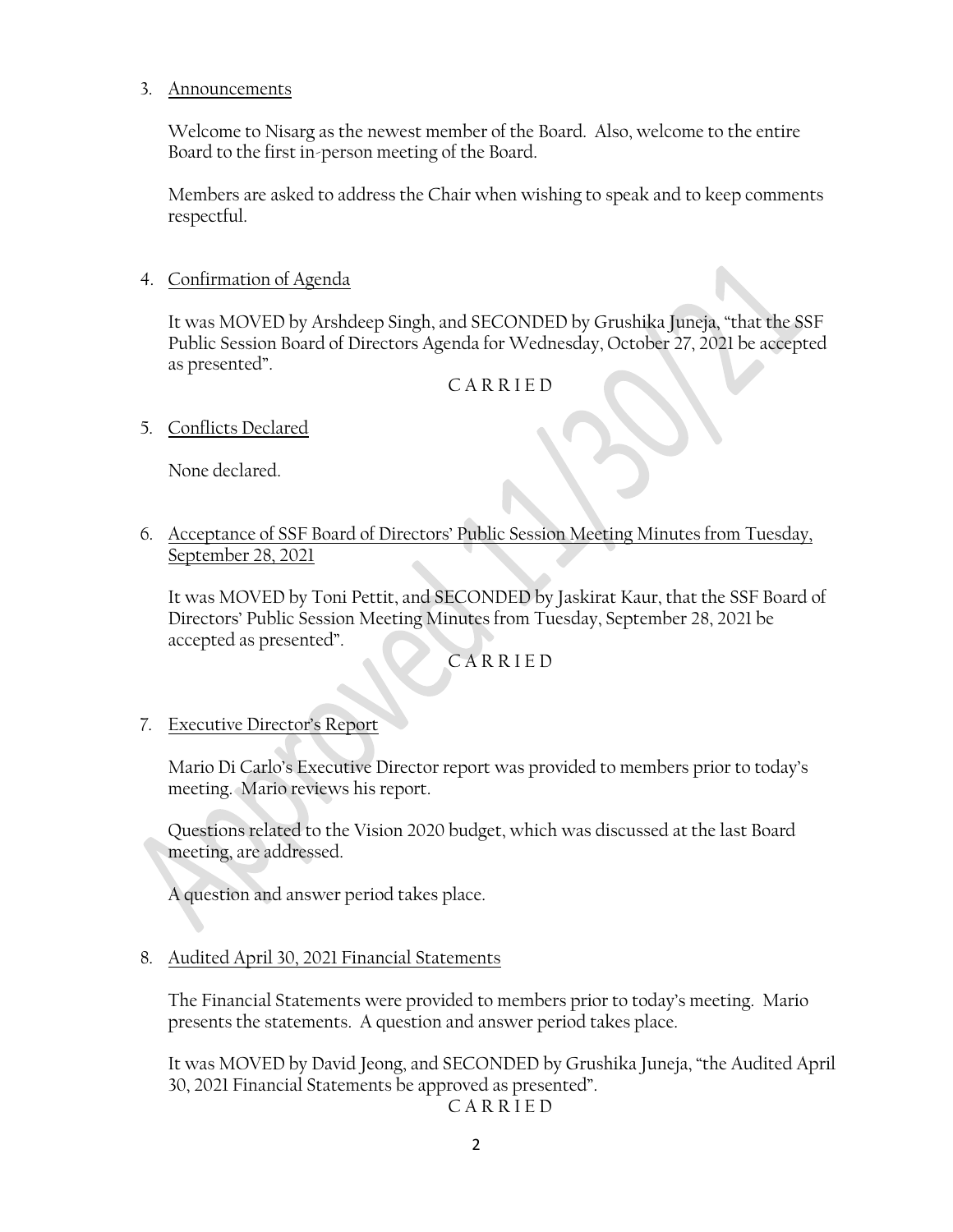#### 3. Announcements

Welcome to Nisarg as the newest member of the Board. Also, welcome to the entire Board to the first in-person meeting of the Board.

Members are asked to address the Chair when wishing to speak and to keep comments respectful.

4. Confirmation of Agenda

It was MOVED by Arshdeep Singh, and SECONDED by Grushika Juneja, "that the SSF Public Session Board of Directors Agenda for Wednesday, October 27, 2021 be accepted as presented".

### C A R R I E D

5. Conflicts Declared

None declared.

6. Acceptance of SSF Board of Directors' Public Session Meeting Minutes from Tuesday, September 28, 2021

It was MOVED by Toni Pettit, and SECONDED by Jaskirat Kaur, that the SSF Board of Directors' Public Session Meeting Minutes from Tuesday, September 28, 2021 be accepted as presented".

## C A R R I E D

7. Executive Director's Report

Mario Di Carlo's Executive Director report was provided to members prior to today's meeting. Mario reviews his report.

Questions related to the Vision 2020 budget, which was discussed at the last Board meeting, are addressed.

A question and answer period takes place.

## 8. Audited April 30, 2021 Financial Statements

The Financial Statements were provided to members prior to today's meeting. Mario presents the statements. A question and answer period takes place.

It was MOVED by David Jeong, and SECONDED by Grushika Juneja, "the Audited April 30, 2021 Financial Statements be approved as presented".

C A R R I E D